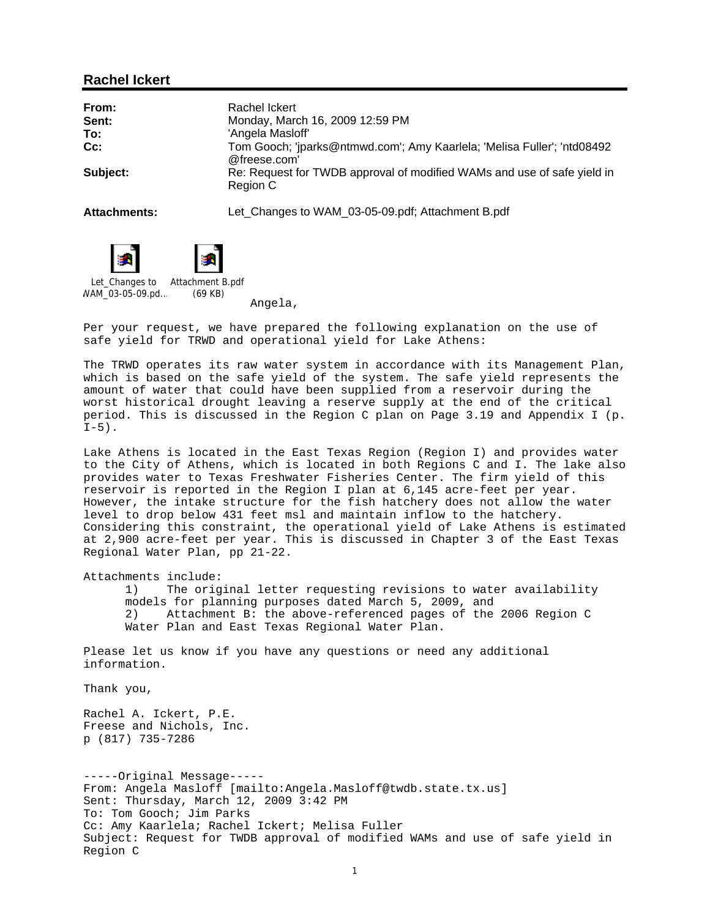### **Rachel Ickert**

| From:               | Rachel Ickert                                                                          |
|---------------------|----------------------------------------------------------------------------------------|
| Sent:               | Monday, March 16, 2009 12:59 PM                                                        |
| To:                 | 'Angela Masloff'                                                                       |
| Cc:                 | Tom Gooch; 'jparks@ntmwd.com'; Amy Kaarlela; 'Melisa Fuller'; 'ntd08492<br>@freese.com |
| Subject:            | Re: Request for TWDB approval of modified WAMs and use of safe yield in<br>Region C    |
| <b>Attachments:</b> | Let_Changes to WAM_03-05-09.pdf; Attachment B.pdf                                      |





Let\_Changes to WAM\_03-05-09.pd... Attachment B.pdf (69 KB)

Angela,

Per your request, we have prepared the following explanation on the use of safe yield for TRWD and operational yield for Lake Athens:

The TRWD operates its raw water system in accordance with its Management Plan, which is based on the safe yield of the system. The safe yield represents the amount of water that could have been supplied from a reservoir during the worst historical drought leaving a reserve supply at the end of the critical period. This is discussed in the Region C plan on Page 3.19 and Appendix I (p.  $I-5$ ).

Lake Athens is located in the East Texas Region (Region I) and provides water to the City of Athens, which is located in both Regions C and I. The lake also provides water to Texas Freshwater Fisheries Center. The firm yield of this reservoir is reported in the Region I plan at 6,145 acre-feet per year. However, the intake structure for the fish hatchery does not allow the water level to drop below 431 feet msl and maintain inflow to the hatchery. Considering this constraint, the operational yield of Lake Athens is estimated at 2,900 acre-feet per year. This is discussed in Chapter 3 of the East Texas Regional Water Plan, pp 21-22.

Attachments include:

1) The original letter requesting revisions to water availability models for planning purposes dated March 5, 2009, and 2) Attachment B: the above-referenced pages of the 2006 Region C Water Plan and East Texas Regional Water Plan.

Please let us know if you have any questions or need any additional information.

Thank you,

Rachel A. Ickert, P.E. Freese and Nichols, Inc. p (817) 735-7286

-----Original Message----- From: Angela Masloff [mailto:Angela.Masloff@twdb.state.tx.us] Sent: Thursday, March 12, 2009 3:42 PM To: Tom Gooch; Jim Parks Cc: Amy Kaarlela; Rachel Ickert; Melisa Fuller Subject: Request for TWDB approval of modified WAMs and use of safe yield in Region C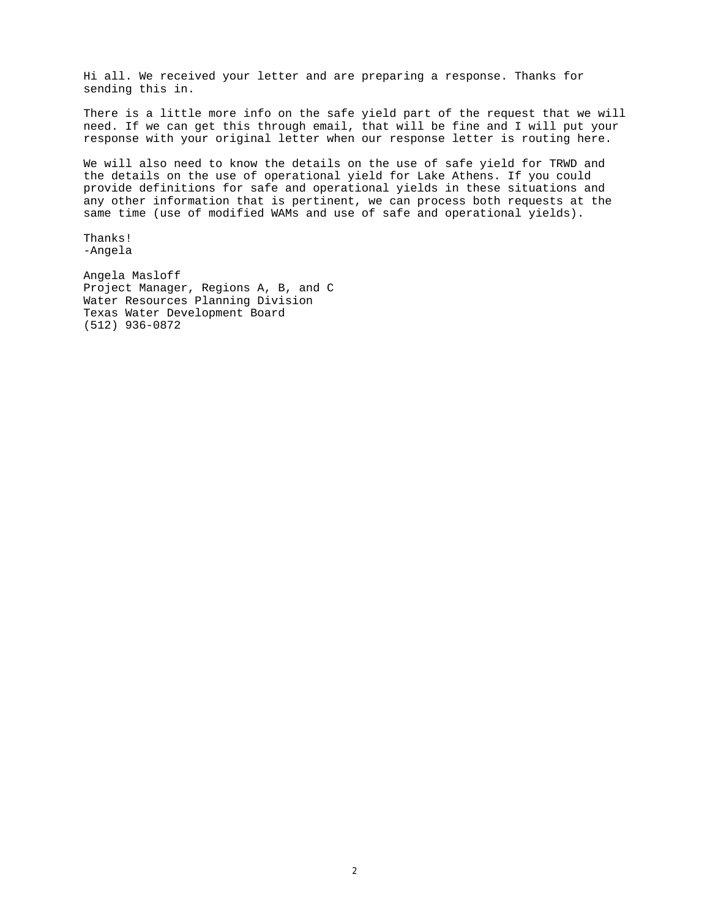Hi all. We received your letter and are preparing a response. Thanks for sending this in.

There is a little more info on the safe yield part of the request that we will need. If we can get this through email, that will be fine and I will put your response with your original letter when our response letter is routing here.

We will also need to know the details on the use of safe yield for TRWD and the details on the use of operational yield for Lake Athens. If you could provide definitions for safe and operational yields in these situations and any other information that is pertinent, we can process both requests at the same time (use of modified WAMs and use of safe and operational yields).

Thanks! -Angela

Angela Masloff Project Manager, Regions A, B, and C Water Resources Planning Division Texas Water Development Board (512) 936-0872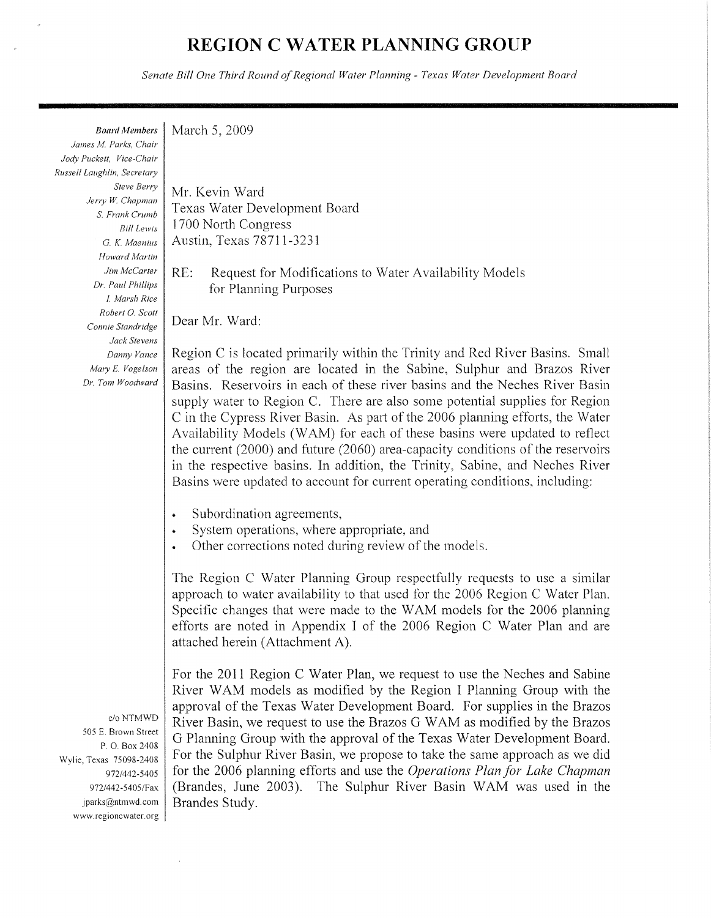# **REGION C WATER PLANNING GROUP**

Senate Bill One Third Round of Regional Water Planning - Texas Water Development Board

**Board Members** March 5, 2009

James M. Parks, Chair Jody Puckett, Vice-Chair Russell Laughlin, Secretary Steve Berry Jerry W. Chapman S. Frank Crumb **Bill Lewis** G. K. Maenius Howard Martin Jim McCarter Dr. Paul Phillips I. Marsh Rice Robert O. Scott Connie Standridge Jack Stevens Danny Vance Mary E. Vogelson Dr. Tom Woodward

Mr. Kevin Ward Texas Water Development Board 1700 North Congress Austin, Texas 78711-3231

 $RE:$ Request for Modifications to Water Availability Models for Planning Purposes

Dear Mr. Ward:

Region C is located primarily within the Trinity and Red River Basins. Small areas of the region are located in the Sabine, Sulphur and Brazos River Basins. Reservoirs in each of these river basins and the Neches River Basin supply water to Region C. There are also some potential supplies for Region C in the Cypress River Basin. As part of the 2006 planning efforts, the Water Availability Models (WAM) for each of these basins were updated to reflect the current  $(2000)$  and future  $(2060)$  area-capacity conditions of the reservoirs in the respective basins. In addition, the Trinity, Sabine, and Neches River Basins were updated to account for current operating conditions, including:

- Subordination agreements,
- System operations, where appropriate, and
- Other corrections noted during review of the models.  $\bullet$

The Region C Water Planning Group respectfully requests to use a similar approach to water availability to that used for the 2006 Region C Water Plan. Specific changes that were made to the WAM models for the 2006 planning efforts are noted in Appendix I of the 2006 Region C Water Plan and are attached herein (Attachment A).

For the 2011 Region C Water Plan, we request to use the Neches and Sabine River WAM models as modified by the Region I Planning Group with the approval of the Texas Water Development Board. For supplies in the Brazos River Basin, we request to use the Brazos G WAM as modified by the Brazos G Planning Group with the approval of the Texas Water Development Board. For the Sulphur River Basin, we propose to take the same approach as we did for the 2006 planning efforts and use the Operations Plan for Lake Chapman (Brandes, June 2003). The Sulphur River Basin WAM was used in the Brandes Study.

c/o NTMWD 505 E. Brown Street P.O. Box 2408 Wylie, Texas 75098-2408 972/442-5405 972/442-5405/Fax iparks@ntmwd.com www.regioncwater.org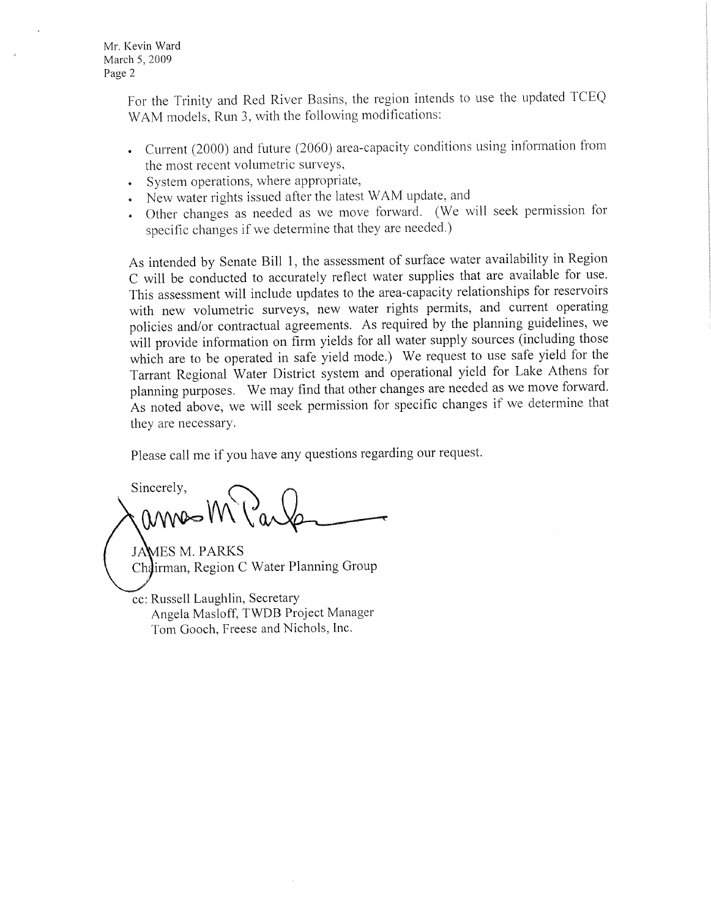Mr. Kevin Ward March 5, 2009 Page 2

> For the Trinity and Red River Basins, the region intends to use the updated TCEQ WAM models, Run 3, with the following modifications:

- Current (2000) and future (2060) area-capacity conditions using information from the most recent volumetric surveys,
- System operations, where appropriate,
- New water rights issued after the latest WAM update, and
- · Other changes as needed as we move forward. (We will seek permission for specific changes if we determine that they are needed.)

As intended by Senate Bill 1, the assessment of surface water availability in Region C will be conducted to accurately reflect water supplies that are available for use. This assessment will include updates to the area-capacity relationships for reservoirs with new volumetric surveys, new water rights permits, and current operating policies and/or contractual agreements. As required by the planning guidelines, we will provide information on firm yields for all water supply sources (including those which are to be operated in safe yield mode.) We request to use safe yield for the Tarrant Regional Water District system and operational yield for Lake Athens for planning purposes. We may find that other changes are needed as we move forward. As noted above, we will seek permission for specific changes if we determine that they are necessary.

Please call me if you have any questions regarding our request.

Sincerely, annes M

**JAMES M. PARKS** Chairman, Region C Water Planning Group

cc: Russell Laughlin, Secretary Angela Masloff, TWDB Project Manager Tom Gooch, Freese and Nichols, Inc.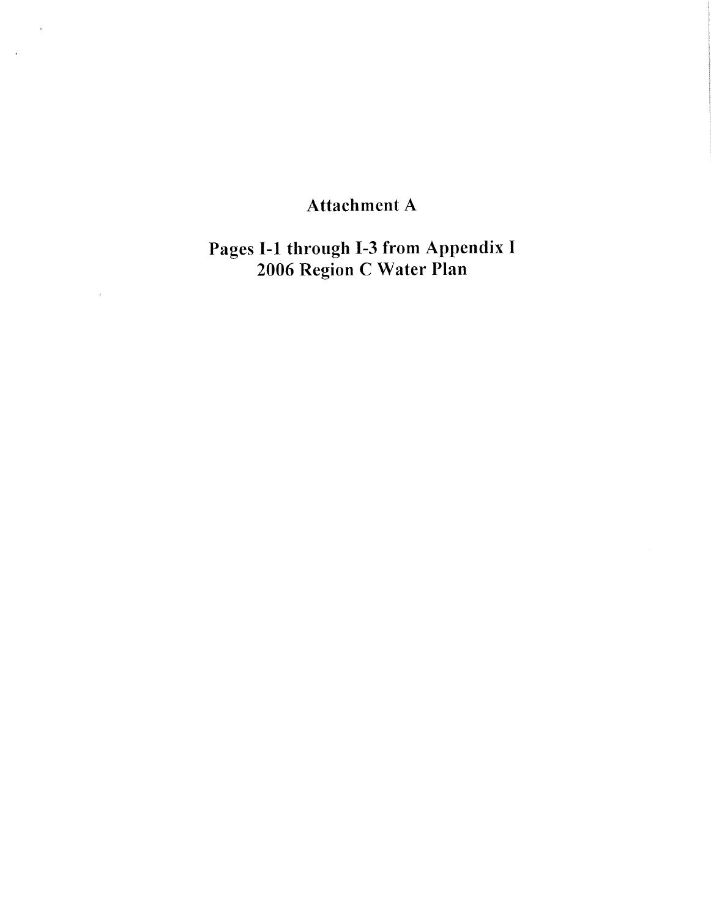# Attachment A

 $\bar{\bar{z}}$ 

 $\sim$   $\sim$ 

Pages I-1 through I-3 from Appendix I<br>2006 Region C Water Plan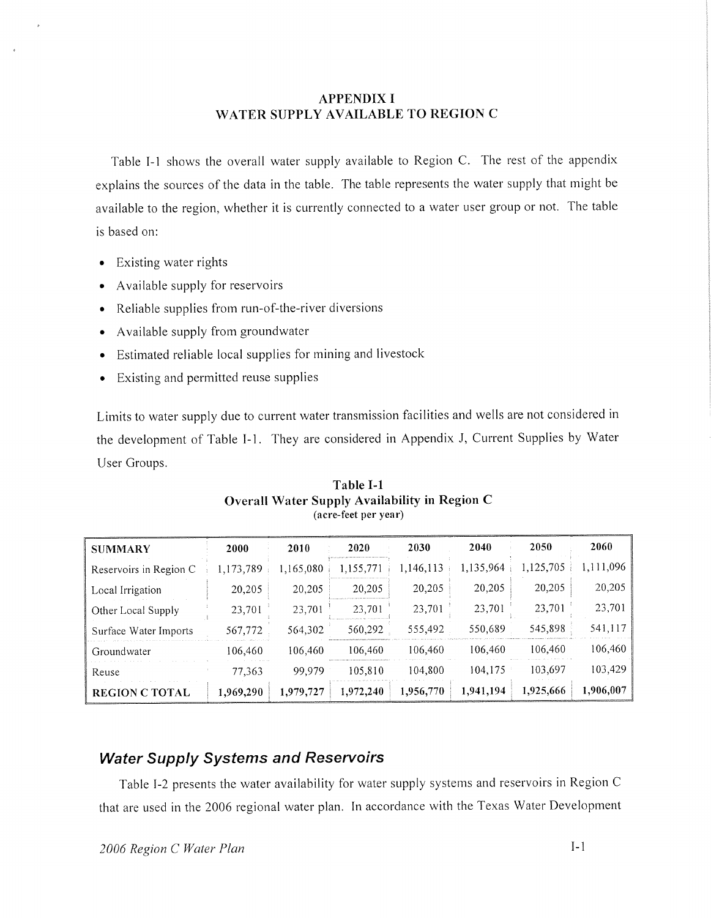## **APPENDIX I** WATER SUPPLY AVAILABLE TO REGION C

Table I-1 shows the overall water supply available to Region C. The rest of the appendix explains the sources of the data in the table. The table represents the water supply that might be available to the region, whether it is currently connected to a water user group or not. The table is based on:

- Existing water rights  $\bullet$
- Available supply for reservoirs
- Reliable supplies from run-of-the-river diversions
- Available supply from groundwater
- Estimated reliable local supplies for mining and livestock
- Existing and permitted reuse supplies  $\bullet$

Limits to water supply due to current water transmission facilities and wells are not considered in the development of Table I-1. They are considered in Appendix J, Current Supplies by Water User Groups.

| <b>SUMMARY</b>         | 2000      | 2010      | 2020      | 2030      | 2040      | 2050      | 2060      |
|------------------------|-----------|-----------|-----------|-----------|-----------|-----------|-----------|
| Reservoirs in Region C | ,173,789  | 1,165,080 | 1,155,771 | 1,146,113 | 1,135,964 | 1,125,705 | 1,111,096 |
| Local Irrigation       | 20,205    | 20,205    | 20,205    | 20,205    | 20,205    | 20,205    | 20,205    |
| Other Local Supply     | 23,701    | 23,701    | 23,701    | 23,701    | 23,701    | 23,701    | 23,701    |
| Surface Water Imports  | 567,772   | 564,302   | 560,292   | 555,492   | 550,689   | 545,898   | 541,117   |
| Groundwater            | 106,460   | 106.460   | 106,460   | 106,460   | 106.460   | 106,460   | 106,460   |
| Reuse                  | 77,363    | 99.979    | 105,810   | 104,800   | 104,175   | 103,697   | 103,429   |
| <b>REGION C TOTAL</b>  | 1.969,290 | 1,979,727 | 1,972,240 | 1,956,770 | 1,941,194 | 1,925,666 | 1,906,007 |

Table I-1 Overall Water Supply Availability in Region C (acre-feet per year)

# **Water Supply Systems and Reservoirs**

Table I-2 presents the water availability for water supply systems and reservoirs in Region C that are used in the 2006 regional water plan. In accordance with the Texas Water Development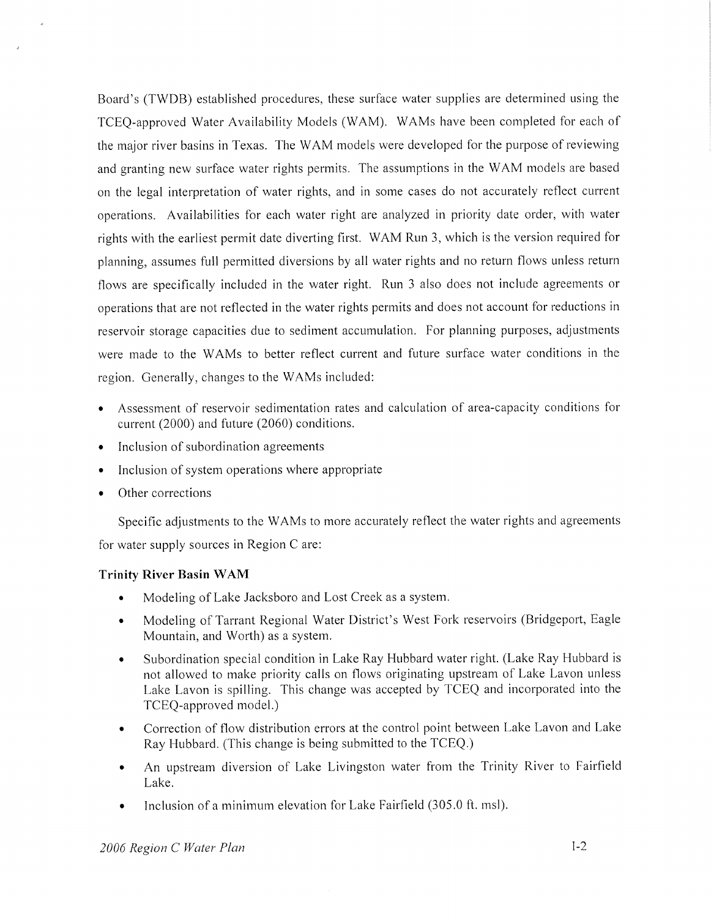Board's (TWDB) established procedures, these surface water supplies are determined using the TCEO-approved Water Availability Models (WAM). WAMs have been completed for each of the major river basins in Texas. The WAM models were developed for the purpose of reviewing and granting new surface water rights permits. The assumptions in the WAM models are based on the legal interpretation of water rights, and in some cases do not accurately reflect current operations. Availabilities for each water right are analyzed in priority date order, with water rights with the earliest permit date diverting first. WAM Run 3, which is the version required for planning, assumes full permitted diversions by all water rights and no return flows unless return flows are specifically included in the water right. Run 3 also does not include agreements or operations that are not reflected in the water rights permits and does not account for reductions in reservoir storage capacities due to sediment accumulation. For planning purposes, adjustments were made to the WAMs to better reflect current and future surface water conditions in the region. Generally, changes to the WAMs included:

- Assessment of reservoir sedimentation rates and calculation of area-capacity conditions for current (2000) and future (2060) conditions.
- Inclusion of subordination agreements  $\bullet$
- Inclusion of system operations where appropriate
- Other corrections

Specific adjustments to the WAMs to more accurately reflect the water rights and agreements for water supply sources in Region C are:

## **Trinity River Basin WAM**

- Modeling of Lake Jacksboro and Lost Creek as a system.  $\bullet$
- Modeling of Tarrant Regional Water District's West Fork reservoirs (Bridgeport, Eagle Mountain, and Worth) as a system.
- Subordination special condition in Lake Ray Hubbard water right. (Lake Ray Hubbard is  $\bullet$ not allowed to make priority calls on flows originating upstream of Lake Lavon unless Lake Lavon is spilling. This change was accepted by TCEQ and incorporated into the TCEQ-approved model.)
- Correction of flow distribution errors at the control point between Lake Lavon and Lake Ray Hubbard. (This change is being submitted to the TCEQ.)
- An upstream diversion of Lake Livingston water from the Trinity River to Fairfield Lake.
- Inclusion of a minimum elevation for Lake Fairfield (305.0 ft. msl).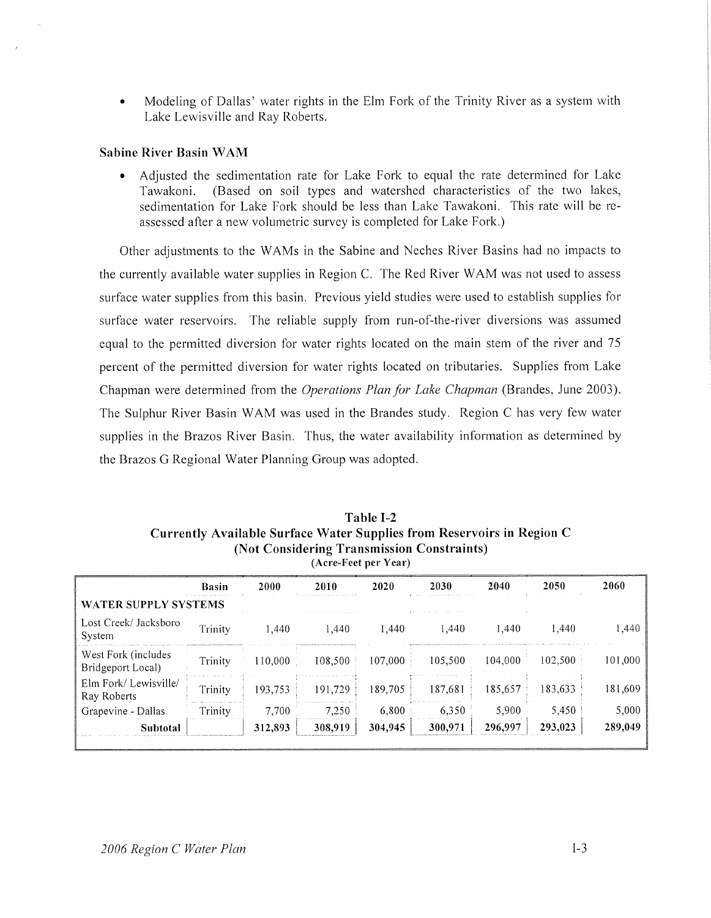Modeling of Dallas' water rights in the Elm Fork of the Trinity River as a system with Lake Lewisville and Ray Roberts.

### **Sabine River Basin WAM**

Adjusted the sedimentation rate for Lake Fork to equal the rate determined for Lake Tawakoni. (Based on soil types and watershed characteristics of the two lakes, sedimentation for Lake Fork should be less than Lake Tawakoni. This rate will be reassessed after a new volumetric survey is completed for Lake Fork.)

Other adjustments to the WAMs in the Sabine and Neches River Basins had no impacts to the currently available water supplies in Region C. The Red River WAM was not used to assess surface water supplies from this basin. Previous yield studies were used to establish supplies for surface water reservoirs. The reliable supply from run-of-the-river diversions was assumed equal to the permitted diversion for water rights located on the main stem of the river and 75 percent of the permitted diversion for water rights located on tributaries. Supplies from Lake Chapman were determined from the *Operations Plan for Lake Chapman* (Brandes, June 2003). The Sulphur River Basin WAM was used in the Brandes study. Region C has very few water supplies in the Brazos River Basin. Thus, the water availability information as determined by the Brazos G Regional Water Planning Group was adopted.

Table I-2 Currently Available Surface Water Supplies from Reservoirs in Region C (Not Considering Transmission Constraints) (Acre-Feet per Year)

| <b>Basin</b>                | 2000    | 2010    | 2020    | 2030    | 2040    | 2050    | 2060    |  |  |
|-----------------------------|---------|---------|---------|---------|---------|---------|---------|--|--|
| <b>WATER SUPPLY SYSTEMS</b> |         |         |         |         |         |         |         |  |  |
| Trinity                     | 1.440   | 1.440   | 1.440   | 1.440   | 1.440   | 1,440   | 1,440   |  |  |
| Trinity                     | 110,000 | 108,500 | 107,000 | 105.500 | 104.000 | 102.500 | 101,000 |  |  |
| Trinity                     | 193,753 | 191,729 | 189,705 | 187.681 | 185,657 | 183,633 | 181,609 |  |  |
| Trinity                     | 7,700   | 7.250   | 6.800   | 6.350   | 5,900   | 5,450   | 5,000   |  |  |
|                             | 312,893 | 308,919 | 304,945 | 300,971 | 296,997 | 293,023 | 289,049 |  |  |
|                             |         |         |         |         |         |         |         |  |  |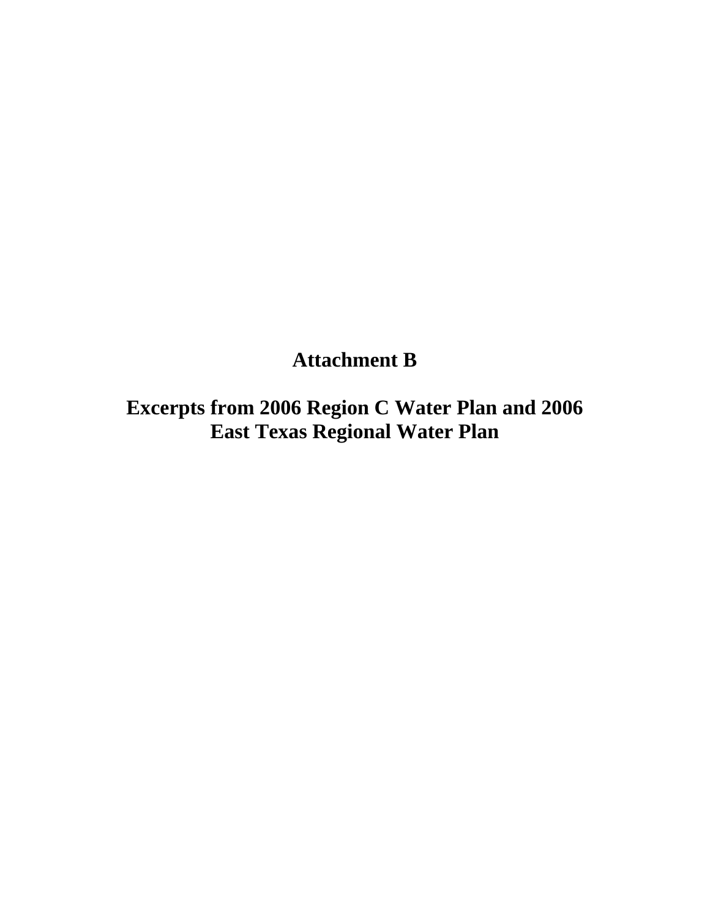# **Attachment B**

**Excerpts from 2006 Region C Water Plan and 2006 East Texas Regional Water Plan**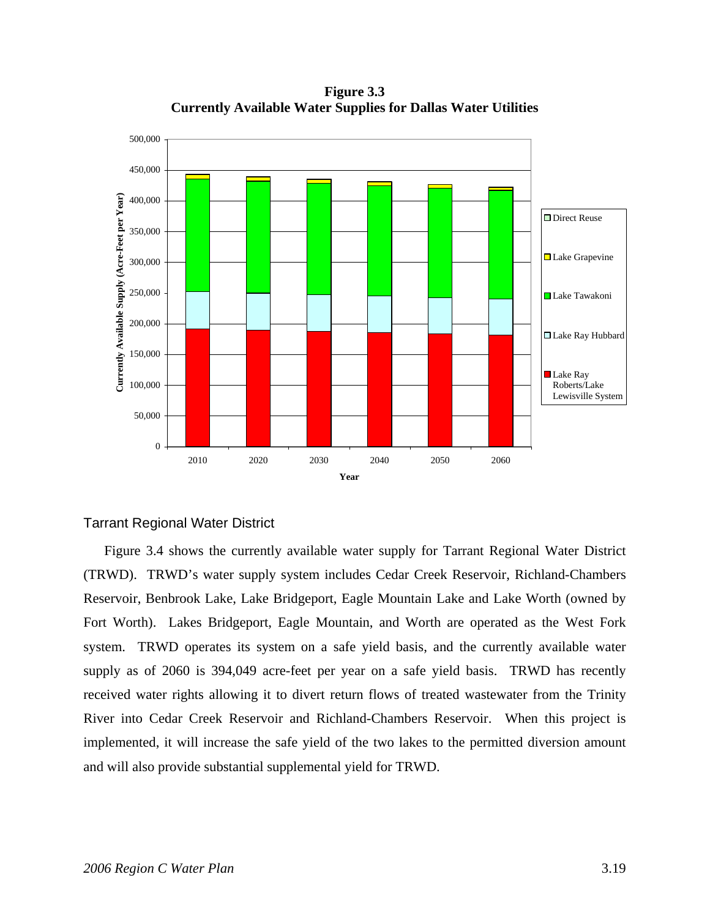**Figure 3.3 Currently Available Water Supplies for Dallas Water Utilities** 



## Tarrant Regional Water District

Figure 3.4 shows the currently available water supply for Tarrant Regional Water District (TRWD). TRWD's water supply system includes Cedar Creek Reservoir, Richland-Chambers Reservoir, Benbrook Lake, Lake Bridgeport, Eagle Mountain Lake and Lake Worth (owned by Fort Worth). Lakes Bridgeport, Eagle Mountain, and Worth are operated as the West Fork system. TRWD operates its system on a safe yield basis, and the currently available water supply as of 2060 is 394,049 acre-feet per year on a safe yield basis. TRWD has recently received water rights allowing it to divert return flows of treated wastewater from the Trinity River into Cedar Creek Reservoir and Richland-Chambers Reservoir. When this project is implemented, it will increase the safe yield of the two lakes to the permitted diversion amount and will also provide substantial supplemental yield for TRWD.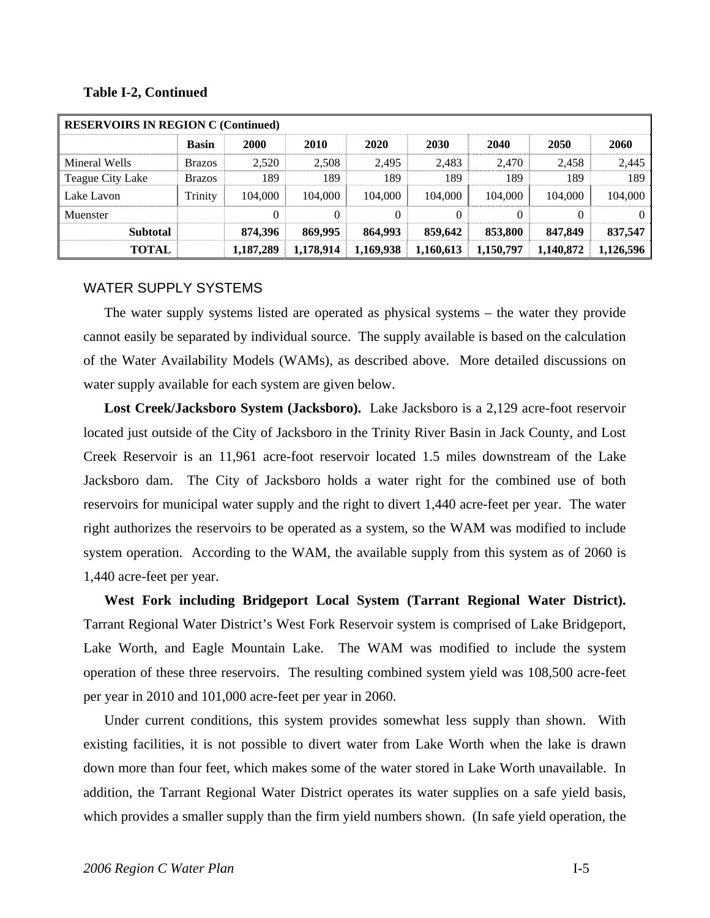### **Table I-2, Continued**

| <b>RESERVOIRS IN REGION C (Continued)</b> |               |           |           |           |           |           |           |           |  |
|-------------------------------------------|---------------|-----------|-----------|-----------|-----------|-----------|-----------|-----------|--|
|                                           | <b>Basin</b>  | 2000      | 2010      | 2020      | 2030      | 2040      | 2050      | 2060      |  |
| Mineral Wells                             | <b>Brazos</b> | 2,520     | 2,508     | 2,495     | 2,483     | 2,470     | 2,458     | 2,445     |  |
| Teague City Lake                          | <b>Brazos</b> | 189       | 189       | 189       | 189       | 189       | 189       | 189       |  |
| Lake Lavon                                | Trinity       | 104,000   | 104,000   | 104,000   | 104.000   | 104,000   | 104,000   | 104,000   |  |
| Muenster                                  |               | $\Omega$  | 0         | 0         |           | $\theta$  | 0         | $\Omega$  |  |
| <b>Subtotal</b>                           |               | 874,396   | 869,995   | 864,993   | 859,642   | 853,800   | 847,849   | 837,547   |  |
| TOTAL                                     |               | 1,187,289 | 1,178,914 | 1,169,938 | 1,160,613 | 1,150,797 | 1,140,872 | 1,126,596 |  |

### WATER SUPPLY SYSTEMS

The water supply systems listed are operated as physical systems – the water they provide cannot easily be separated by individual source. The supply available is based on the calculation of the Water Availability Models (WAMs), as described above. More detailed discussions on water supply available for each system are given below.

**Lost Creek/Jacksboro System (Jacksboro).** Lake Jacksboro is a 2,129 acre-foot reservoir located just outside of the City of Jacksboro in the Trinity River Basin in Jack County, and Lost Creek Reservoir is an 11,961 acre-foot reservoir located 1.5 miles downstream of the Lake Jacksboro dam. The City of Jacksboro holds a water right for the combined use of both reservoirs for municipal water supply and the right to divert 1,440 acre-feet per year. The water right authorizes the reservoirs to be operated as a system, so the WAM was modified to include system operation. According to the WAM, the available supply from this system as of 2060 is 1,440 acre-feet per year.

**West Fork including Bridgeport Local System (Tarrant Regional Water District).** Tarrant Regional Water District's West Fork Reservoir system is comprised of Lake Bridgeport, Lake Worth, and Eagle Mountain Lake. The WAM was modified to include the system operation of these three reservoirs. The resulting combined system yield was 108,500 acre-feet per year in 2010 and 101,000 acre-feet per year in 2060.

Under current conditions, this system provides somewhat less supply than shown. With existing facilities, it is not possible to divert water from Lake Worth when the lake is drawn down more than four feet, which makes some of the water stored in Lake Worth unavailable. In addition, the Tarrant Regional Water District operates its water supplies on a safe yield basis, which provides a smaller supply than the firm yield numbers shown. (In safe yield operation, the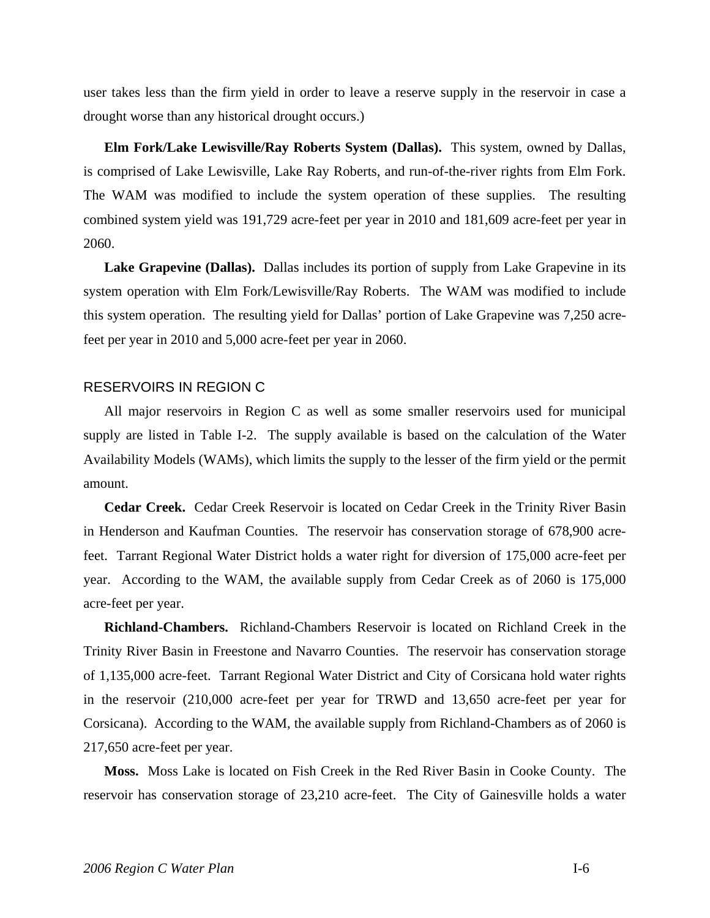user takes less than the firm yield in order to leave a reserve supply in the reservoir in case a drought worse than any historical drought occurs.)

**Elm Fork/Lake Lewisville/Ray Roberts System (Dallas).** This system, owned by Dallas, is comprised of Lake Lewisville, Lake Ray Roberts, and run-of-the-river rights from Elm Fork. The WAM was modified to include the system operation of these supplies. The resulting combined system yield was 191,729 acre-feet per year in 2010 and 181,609 acre-feet per year in 2060.

**Lake Grapevine (Dallas).** Dallas includes its portion of supply from Lake Grapevine in its system operation with Elm Fork/Lewisville/Ray Roberts. The WAM was modified to include this system operation. The resulting yield for Dallas' portion of Lake Grapevine was 7,250 acrefeet per year in 2010 and 5,000 acre-feet per year in 2060.

#### RESERVOIRS IN REGION C

All major reservoirs in Region C as well as some smaller reservoirs used for municipal supply are listed in Table I-2. The supply available is based on the calculation of the Water Availability Models (WAMs), which limits the supply to the lesser of the firm yield or the permit amount.

**Cedar Creek.** Cedar Creek Reservoir is located on Cedar Creek in the Trinity River Basin in Henderson and Kaufman Counties. The reservoir has conservation storage of 678,900 acrefeet. Tarrant Regional Water District holds a water right for diversion of 175,000 acre-feet per year. According to the WAM, the available supply from Cedar Creek as of 2060 is 175,000 acre-feet per year.

**Richland-Chambers.** Richland-Chambers Reservoir is located on Richland Creek in the Trinity River Basin in Freestone and Navarro Counties. The reservoir has conservation storage of 1,135,000 acre-feet. Tarrant Regional Water District and City of Corsicana hold water rights in the reservoir (210,000 acre-feet per year for TRWD and 13,650 acre-feet per year for Corsicana). According to the WAM, the available supply from Richland-Chambers as of 2060 is 217,650 acre-feet per year.

**Moss.** Moss Lake is located on Fish Creek in the Red River Basin in Cooke County. The reservoir has conservation storage of 23,210 acre-feet. The City of Gainesville holds a water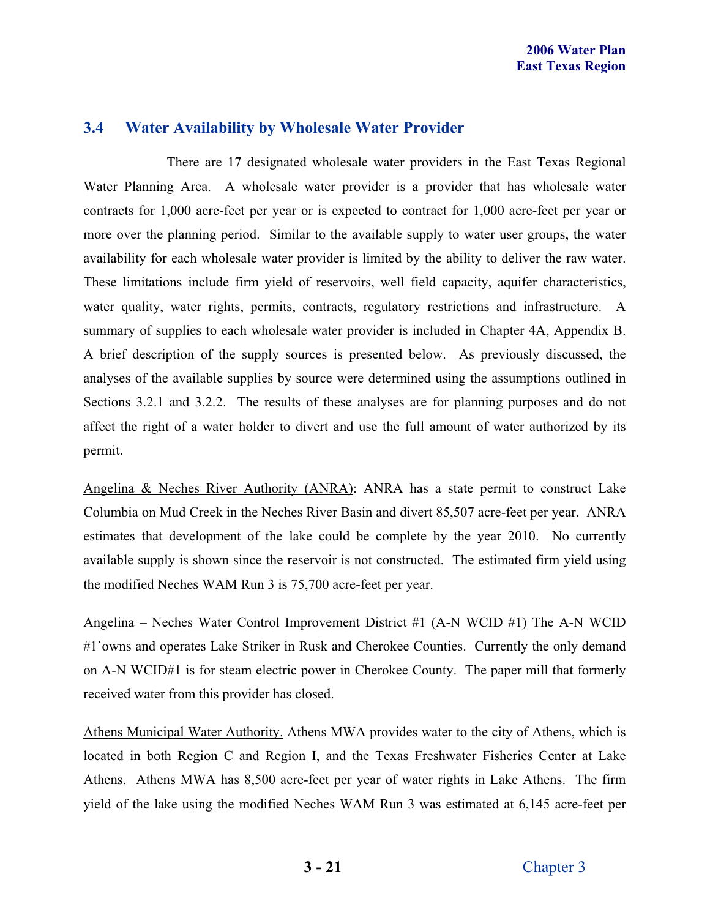## **3.4 Water Availability by Wholesale Water Provider**

 There are 17 designated wholesale water providers in the East Texas Regional Water Planning Area. A wholesale water provider is a provider that has wholesale water contracts for 1,000 acre-feet per year or is expected to contract for 1,000 acre-feet per year or more over the planning period. Similar to the available supply to water user groups, the water availability for each wholesale water provider is limited by the ability to deliver the raw water. These limitations include firm yield of reservoirs, well field capacity, aquifer characteristics, water quality, water rights, permits, contracts, regulatory restrictions and infrastructure. A summary of supplies to each wholesale water provider is included in Chapter 4A, Appendix B. A brief description of the supply sources is presented below. As previously discussed, the analyses of the available supplies by source were determined using the assumptions outlined in Sections 3.2.1 and 3.2.2. The results of these analyses are for planning purposes and do not affect the right of a water holder to divert and use the full amount of water authorized by its permit.

Angelina & Neches River Authority (ANRA): ANRA has a state permit to construct Lake Columbia on Mud Creek in the Neches River Basin and divert 85,507 acre-feet per year. ANRA estimates that development of the lake could be complete by the year 2010. No currently available supply is shown since the reservoir is not constructed. The estimated firm yield using the modified Neches WAM Run 3 is 75,700 acre-feet per year.

Angelina – Neches Water Control Improvement District #1 (A-N WCID #1) The A-N WCID #1`owns and operates Lake Striker in Rusk and Cherokee Counties. Currently the only demand on A-N WCID#1 is for steam electric power in Cherokee County. The paper mill that formerly received water from this provider has closed.

Athens Municipal Water Authority. Athens MWA provides water to the city of Athens, which is located in both Region C and Region I, and the Texas Freshwater Fisheries Center at Lake Athens. Athens MWA has 8,500 acre-feet per year of water rights in Lake Athens. The firm yield of the lake using the modified Neches WAM Run 3 was estimated at 6,145 acre-feet per